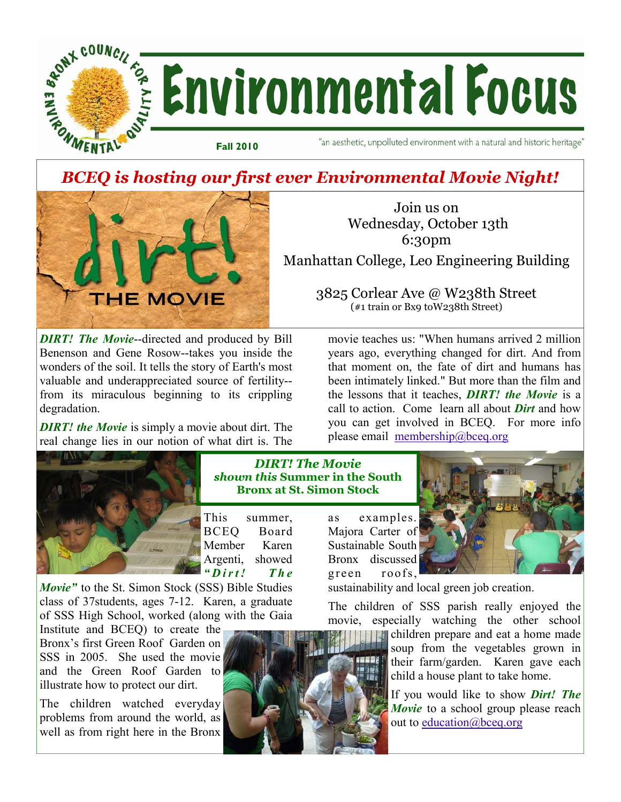

# *BCEQ is hosting our first ever Environmental Movie Night!*



Join us on Wednesday, October 13th 6:30pm

Manhattan College, Leo Engineering Building

3825 Corlear Ave @ W238th Street (#1 train or Bx9 toW238th Street)

*DIRT! The Movie***--directed and produced by Bill** Benenson and Gene Rosow--takes you inside the wonders of the soil. It tells the story of Earth's most valuable and underappreciated source of fertility- from its miraculous beginning to its crippling degradation.

*DIRT! the Movie* is simply a movie about dirt. The real change lies in our notion of what dirt is. The



*DIRT! The Movie shown this* **Summer in the South Bronx at St. Simon Stock** 

This summer, BCEQ Board Member Karen Argenti, showed *" D i r t ! T h e* 

*Movie"* to the St. Simon Stock (SSS) Bible Studies class of 37students, ages 7-12. Karen, a graduate of SSS High School, worked (along with the Gaia

Institute and BCEQ) to create the Bronx's first Green Roof Garden on SSS in 2005. She used the movie and the Green Roof Garden to illustrate how to protect our dirt.

The children watched everyday problems from around the world, as well as from right here in the Bronx



movie teaches us: "When humans arrived 2 million years ago, everything changed for dirt. And from that moment on, the fate of dirt and humans has been intimately linked." But more than the film and the lessons that it teaches, *DIRT! the Movie* is a call to action. Come learn all about *Dirt* and how you can get involved in BCEQ. For more info please email membership@bceq.org



sustainability and local green job creation.

The children of SSS parish really enjoyed the movie, especially watching the other school

> children prepare and eat a home made soup from the vegetables grown in their farm/garden. Karen gave each child a house plant to take home.

> If you would like to show *Dirt! The Movie* to a school group please reach out to education@bceq.org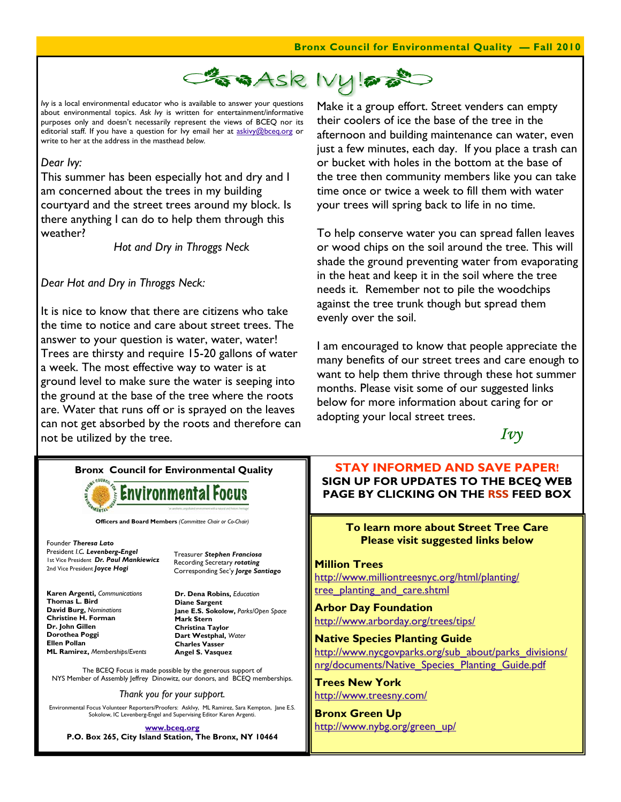

*Ivy* is a local environmental educator who is available to answer your questions about environmental topics. *Ask Ivy* is written for entertainment/informative purposes only and doesn't necessarily represent the views of BCEQ nor its editorial staff. If you have a question for Ivy email her at askivy@bceq.org or write to her at the address in the masthead *below.* 

### *Dear Ivy:*

This summer has been especially hot and dry and I am concerned about the trees in my building courtyard and the street trees around my block. Is there anything I can do to help them through this weather?

 *Hot and Dry in Throggs Neck* 

*Dear Hot and Dry in Throggs Neck:* 

It is nice to know that there are citizens who take the time to notice and care about street trees. The answer to your question is water, water, water! Trees are thirsty and require 15-20 gallons of water a week. The most effective way to water is at ground level to make sure the water is seeping into the ground at the base of the tree where the roots are. Water that runs off or is sprayed on the leaves can not get absorbed by the roots and therefore can not be utilized by the tree.

Make it a group effort. Street venders can empty their coolers of ice the base of the tree in the afternoon and building maintenance can water, even just a few minutes, each day. If you place a trash can or bucket with holes in the bottom at the base of the tree then community members like you can take time once or twice a week to fill them with water your trees will spring back to life in no time.

To help conserve water you can spread fallen leaves or wood chips on the soil around the tree. This will shade the ground preventing water from evaporating in the heat and keep it in the soil where the tree needs it. Remember not to pile the woodchips against the tree trunk though but spread them evenly over the soil.

I am encouraged to know that people appreciate the many benefits of our street trees and care enough to want to help them thrive through these hot summer months. Please visit some of our suggested links below for more information about caring for or adopting your local street trees.



## **Bronx Council for Environmental Quality**



**Officers and Board Members** *(Committee Chair or Co-Chair)*

Founder *Theresa Lato* President *I.C. Levenberg-Engel* 1st Vice President *Dr. Paul Mankiewicz* 2nd Vice President *Joyce Hogi*

**Karen Argenti,** *Communications* **Thomas L. Bird David Burg,** *Nominations* **Christine H. Forman Dr. John Gillen Dorothea Poggi Ellen Pollan ML Ramirez,** *Memberships/Events* Treasurer *Stephen Franciosa* Recording Secretary *rotating*  Corresponding Sec'y *Jorge Santiago*

**Dr. Dena Robins,** *Education* **Diane Sargent Jane E.S. Sokolow,** *Parks/Open Space* **Mark Stern Christina Taylor Dart Westphal,** *Water* **Charles Vasser Angel S. Vasquez** 

The BCEQ Focus is made possible by the generous support of NYS Member of Assembly Jeffrey Dinowitz, our donors, and BCEQ memberships.

*Thank you for your support.* 

Environmental Focus Volunteer Reporters/Proofers: AskIvy, ML Ramirez, Sara Kempton, Jane E.S. Sokolow, IC Levenberg-Engel and Supervising Editor Karen Argenti.

**www.bceq.org P.O. Box 265, City Island Station, The Bronx, NY 10464**

**STAY INFORMED AND SAVE PAPER! SIGN UP FOR UPDATES TO THE BCEQ WEB PAGE BY CLICKING ON THE RSS FEED BOX** 

### **To learn more about Street Tree Care Please visit suggested links below**

#### **Million Trees**

http://www.milliontreesnyc.org/html/planting/ tree\_planting\_and\_care.shtml

**Arbor Day Foundation**  http://www.arborday.org/trees/tips/

**Native Species Planting Guide**  http://www.nycgovparks.org/sub\_about/parks\_divisions/ nrg/documents/Native\_Species\_Planting\_Guide.pdf

**Trees New York**  http://www.treesny.com/

**Bronx Green Up**  http://www.nybg.org/green\_up/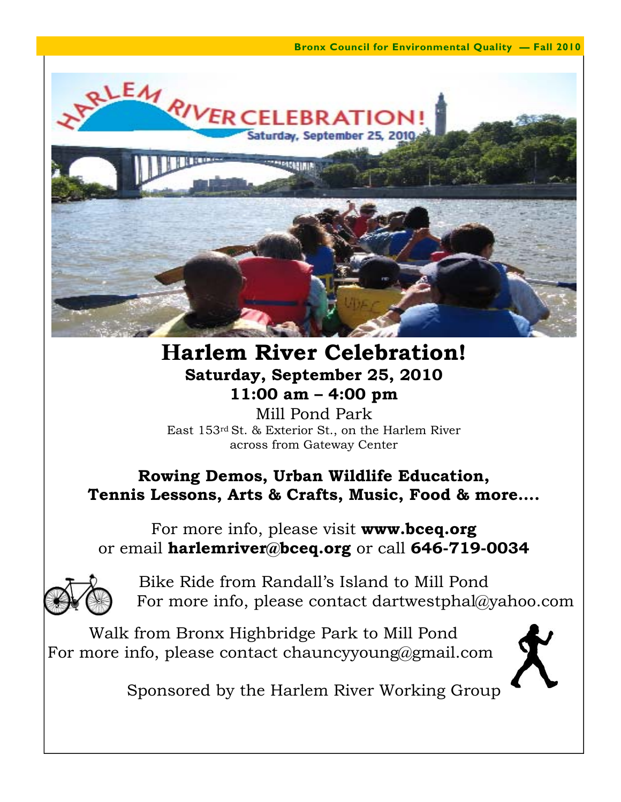**Bronx Council for Environmental Quality — Fall 2010** 



# **Harlem River Celebration! Saturday, September 25, 2010 11:00 am – 4:00 pm**

Mill Pond Park East 153rd St. & Exterior St., on the Harlem River across from Gateway Center

# **Rowing Demos, Urban Wildlife Education, Tennis Lessons, Arts & Crafts, Music, Food & more….**

For more info, please visit **www.bceq.org**  or email **harlemriver@bceq.org** or call **646-719-0034** 



Bike Ride from Randall's Island to Mill Pond For more info, please contact dartwestphal@yahoo.com

 Walk from Bronx Highbridge Park to Mill Pond For more info, please contact chauncyyoung@gmail.com



Sponsored by the Harlem River Working Group